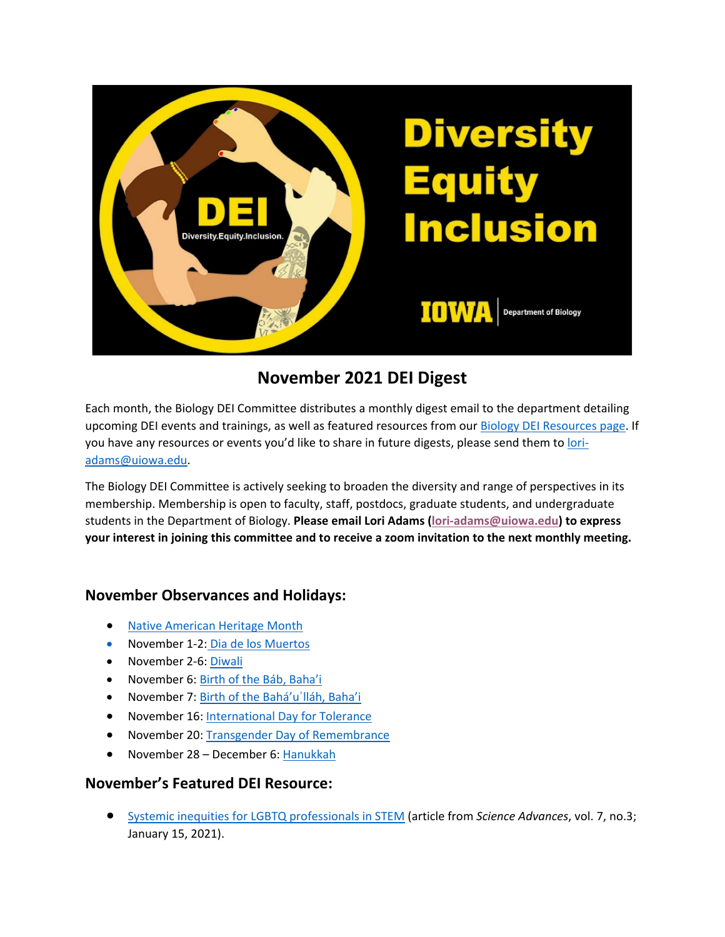

# **November 2021 DEI Digest**

Each month, the Biology DEI Committee distributes a monthly digest email to the department detailing upcoming DEI events and trainings, as well as featured resources from our Biology DEI Resources page. If you have any resources or events you'd like to share in future digests, please send them to loriadams@uiowa.edu.

The Biology DEI Committee is actively seeking to broaden the diversity and range of perspectives in its membership. Membership is open to faculty, staff, postdocs, graduate students, and undergraduate students in the Department of Biology. **Please email Lori Adams (lori-adams@uiowa.edu) to express your interest in joining this committee and to receive a zoom invitation to the next monthly meeting.**

## **November Observances and Holidays:**

- Native American Heritage Month
- November 1-2: Dia de los Muertos
- November 2-6: Diwali
- November 6: Birth of the Báb, Baha'i
- November 7: Birth of the Bahá'uˈlláh, Baha'i
- November 16: International Day for Tolerance
- November 20: Transgender Day of Remembrance
- November 28 December 6: Hanukkah

### **November's Featured DEI Resource:**

• Systemic inequities for LGBTQ professionals in STEM (article from *Science Advances*, vol. 7, no.3; January 15, 2021).